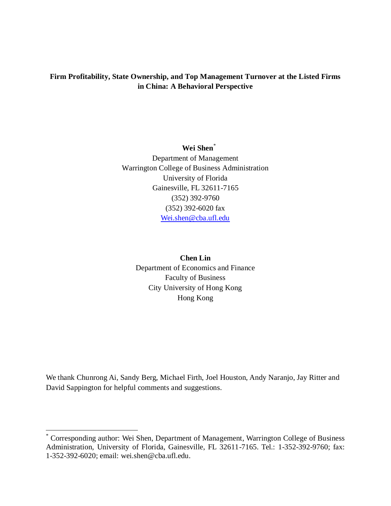# **Firm Profitability, State Ownership, and Top Management Turnover at the Listed Firms in China: A Behavioral Perspective**

 **Wei Shen**\* Department of Management Warrington College of Business Administration University of Florida Gainesville, FL 32611-7165 (352) 392-9760 (352) 392-6020 fax [Wei.shen@cba.ufl.edu](mailto:Wei.shen@cba.ufl.edu)

**Chen Lin** Department of Economics and Finance Faculty of Business City University of Hong Kong Hong Kong

We thank Chunrong Ai, Sandy Berg, Michael Firth, Joel Houston, Andy Naranjo, Jay Ritter and David Sappington for helpful comments and suggestions.

<sup>\*</sup> Corresponding author: Wei Shen, Department of Management, Warrington College of Business Administration, University of Florida, Gainesville, FL 32611-7165. Tel.: 1-352-392-9760; fax: 1-352-392-6020; email: wei.shen@cba.ufl.edu.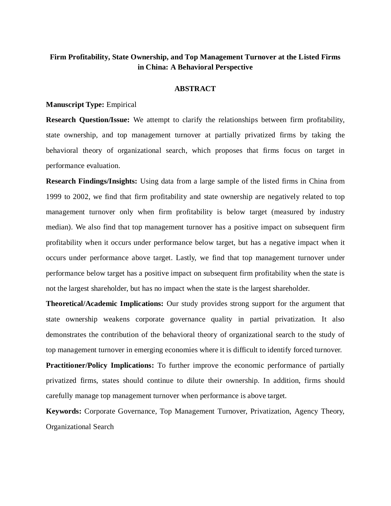# **Firm Profitability, State Ownership, and Top Management Turnover at the Listed Firms in China: A Behavioral Perspective**

#### **ABSTRACT**

#### **Manuscript Type:** Empirical

**Research Question/Issue:** We attempt to clarify the relationships between firm profitability, state ownership, and top management turnover at partially privatized firms by taking the behavioral theory of organizational search, which proposes that firms focus on target in performance evaluation.

**Research Findings/Insights:** Using data from a large sample of the listed firms in China from 1999 to 2002, we find that firm profitability and state ownership are negatively related to top management turnover only when firm profitability is below target (measured by industry median). We also find that top management turnover has a positive impact on subsequent firm profitability when it occurs under performance below target, but has a negative impact when it occurs under performance above target. Lastly, we find that top management turnover under performance below target has a positive impact on subsequent firm profitability when the state is not the largest shareholder, but has no impact when the state is the largest shareholder.

**Theoretical/Academic Implications:** Our study provides strong support for the argument that state ownership weakens corporate governance quality in partial privatization. It also demonstrates the contribution of the behavioral theory of organizational search to the study of top management turnover in emerging economies where it is difficult to identify forced turnover.

**Practitioner/Policy Implications:** To further improve the economic performance of partially privatized firms, states should continue to dilute their ownership. In addition, firms should carefully manage top management turnover when performance is above target.

**Keywords:** Corporate Governance, Top Management Turnover, Privatization, Agency Theory, Organizational Search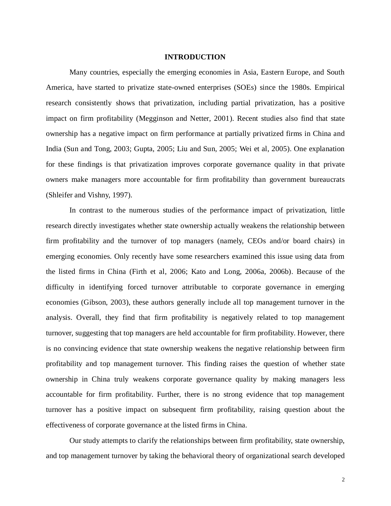#### **INTRODUCTION**

Many countries, especially the emerging economies in Asia, Eastern Europe, and South America, have started to privatize state-owned enterprises (SOEs) since the 1980s. Empirical research consistently shows that privatization, including partial privatization, has a positive impact on firm profitability (Megginson and Netter, 2001). Recent studies also find that state ownership has a negative impact on firm performance at partially privatized firms in China and India (Sun and Tong, 2003; Gupta, 2005; Liu and Sun, 2005; Wei et al, 2005). One explanation for these findings is that privatization improves corporate governance quality in that private owners make managers more accountable for firm profitability than government bureaucrats (Shleifer and Vishny, 1997).

In contrast to the numerous studies of the performance impact of privatization, little research directly investigates whether state ownership actually weakens the relationship between firm profitability and the turnover of top managers (namely, CEOs and/or board chairs) in emerging economies. Only recently have some researchers examined this issue using data from the listed firms in China (Firth et al, 2006; Kato and Long, 2006a, 2006b). Because of the difficulty in identifying forced turnover attributable to corporate governance in emerging economies (Gibson, 2003), these authors generally include all top management turnover in the analysis. Overall, they find that firm profitability is negatively related to top management turnover, suggesting that top managers are held accountable for firm profitability. However, there is no convincing evidence that state ownership weakens the negative relationship between firm profitability and top management turnover. This finding raises the question of whether state ownership in China truly weakens corporate governance quality by making managers less accountable for firm profitability. Further, there is no strong evidence that top management turnover has a positive impact on subsequent firm profitability, raising question about the effectiveness of corporate governance at the listed firms in China.

Our study attempts to clarify the relationships between firm profitability, state ownership, and top management turnover by taking the behavioral theory of organizational search developed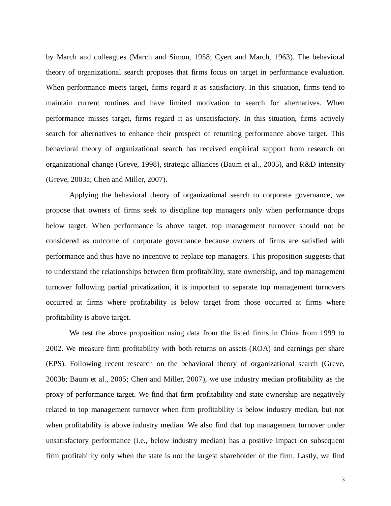by March and colleagues (March and Simon, 1958; Cyert and March, 1963). The behavioral theory of organizational search proposes that firms focus on target in performance evaluation. When performance meets target, firms regard it as satisfactory. In this situation, firms tend to maintain current routines and have limited motivation to search for alternatives. When performance misses target, firms regard it as unsatisfactory. In this situation, firms actively search for alternatives to enhance their prospect of returning performance above target. This behavioral theory of organizational search has received empirical support from research on organizational change (Greve, 1998), strategic alliances (Baum et al., 2005), and R&D intensity (Greve, 2003a; Chen and Miller, 2007).

Applying the behavioral theory of organizational search to corporate governance, we propose that owners of firms seek to discipline top managers only when performance drops below target. When performance is above target, top management turnover should not be considered as outcome of corporate governance because owners of firms are satisfied with performance and thus have no incentive to replace top managers. This proposition suggests that to understand the relationships between firm profitability, state ownership, and top management turnover following partial privatization, it is important to separate top management turnovers occurred at firms where profitability is below target from those occurred at firms where profitability is above target.

We test the above proposition using data from the listed firms in China from 1999 to 2002. We measure firm profitability with both returns on assets (ROA) and earnings per share (EPS). Following recent research on the behavioral theory of organizational search (Greve, 2003b; Baum et al., 2005; Chen and Miller, 2007), we use industry median profitability as the proxy of performance target. We find that firm profitability and state ownership are negatively related to top management turnover when firm profitability is below industry median, but not when profitability is above industry median. We also find that top management turnover under unsatisfactory performance (i.e., below industry median) has a positive impact on subsequent firm profitability only when the state is not the largest shareholder of the firm. Lastly, we find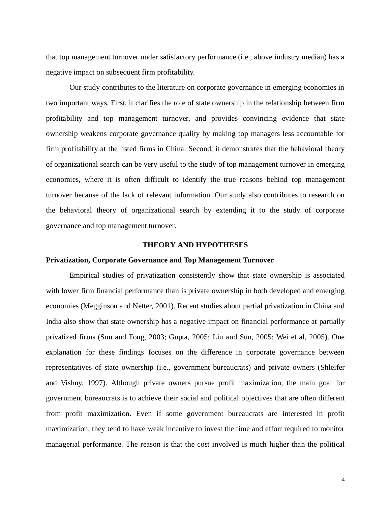that top management turnover under satisfactory performance (i.e., above industry median) has a negative impact on subsequent firm profitability.

Our study contributes to the literature on corporate governance in emerging economies in two important ways. First, it clarifies the role of state ownership in the relationship between firm profitability and top management turnover, and provides convincing evidence that state ownership weakens corporate governance quality by making top managers less accountable for firm profitability at the listed firms in China. Second, it demonstrates that the behavioral theory of organizational search can be very useful to the study of top management turnover in emerging economies, where it is often difficult to identify the true reasons behind top management turnover because of the lack of relevant information. Our study also contributes to research on the behavioral theory of organizational search by extending it to the study of corporate governance and top management turnover.

#### **THEORY AND HYPOTHESES**

#### **Privatization, Corporate Governance and Top Management Turnover**

Empirical studies of privatization consistently show that state ownership is associated with lower firm financial performance than is private ownership in both developed and emerging economies (Megginson and Netter, 2001). Recent studies about partial privatization in China and India also show that state ownership has a negative impact on financial performance at partially privatized firms (Sun and Tong, 2003; Gupta, 2005; Liu and Sun, 2005; Wei et al, 2005). One explanation for these findings focuses on the difference in corporate governance between representatives of state ownership (i.e., government bureaucrats) and private owners (Shleifer and Vishny, 1997). Although private owners pursue profit maximization, the main goal for government bureaucrats is to achieve their social and political objectives that are often different from profit maximization. Even if some government bureaucrats are interested in profit maximization, they tend to have weak incentive to invest the time and effort required to monitor managerial performance. The reason is that the cost involved is much higher than the political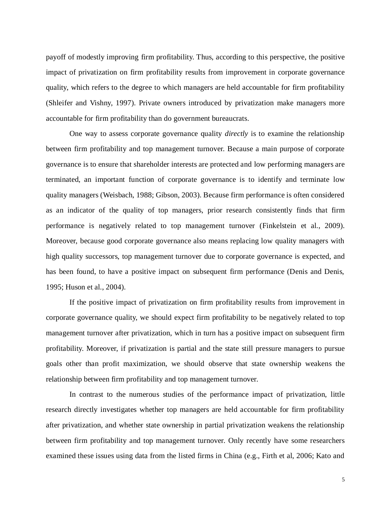payoff of modestly improving firm profitability. Thus, according to this perspective, the positive impact of privatization on firm profitability results from improvement in corporate governance quality, which refers to the degree to which managers are held accountable for firm profitability (Shleifer and Vishny, 1997). Private owners introduced by privatization make managers more accountable for firm profitability than do government bureaucrats.

One way to assess corporate governance quality *directly* is to examine the relationship between firm profitability and top management turnover. Because a main purpose of corporate governance is to ensure that shareholder interests are protected and low performing managers are terminated, an important function of corporate governance is to identify and terminate low quality managers (Weisbach, 1988; Gibson, 2003). Because firm performance is often considered as an indicator of the quality of top managers, prior research consistently finds that firm performance is negatively related to top management turnover (Finkelstein et al., 2009). Moreover, because good corporate governance also means replacing low quality managers with high quality successors, top management turnover due to corporate governance is expected, and has been found, to have a positive impact on subsequent firm performance (Denis and Denis, 1995; Huson et al., 2004).

If the positive impact of privatization on firm profitability results from improvement in corporate governance quality, we should expect firm profitability to be negatively related to top management turnover after privatization, which in turn has a positive impact on subsequent firm profitability. Moreover, if privatization is partial and the state still pressure managers to pursue goals other than profit maximization, we should observe that state ownership weakens the relationship between firm profitability and top management turnover.

In contrast to the numerous studies of the performance impact of privatization, little research directly investigates whether top managers are held accountable for firm profitability after privatization, and whether state ownership in partial privatization weakens the relationship between firm profitability and top management turnover. Only recently have some researchers examined these issues using data from the listed firms in China (e.g., Firth et al, 2006; Kato and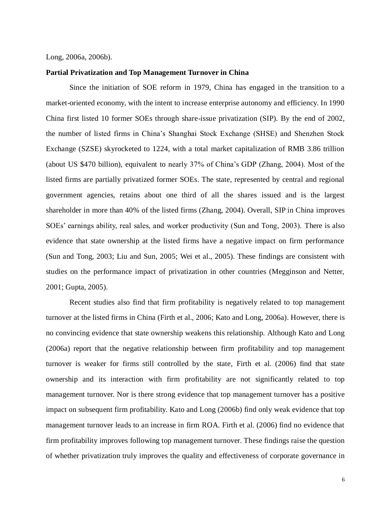Long, 2006a, 2006b).

#### **Partial Privatization and Top Management Turnover in China**

Since the initiation of SOE reform in 1979, China has engaged in the transition to a market-oriented economy, with the intent to increase enterprise autonomy and efficiency. In 1990 China first listed 10 former SOEs through share-issue privatization (SIP). By the end of 2002, the number of listed firms in China's Shanghai Stock Exchange (SHSE) and Shenzhen Stock Exchange (SZSE) skyrocketed to 1224, with a total market capitalization of RMB 3.86 trillion (about US \$470 billion), equivalent to nearly 37% of China's GDP (Zhang, 2004). Most of the listed firms are partially privatized former SOEs. The state, represented by central and regional government agencies, retains about one third of all the shares issued and is the largest shareholder in more than 40% of the listed firms (Zhang, 2004). Overall, SIP in China improves SOEs' earnings ability, real sales, and worker productivity (Sun and Tong, 2003). There is also evidence that state ownership at the listed firms have a negative impact on firm performance (Sun and Tong, 2003; Liu and Sun, 2005; Wei et al., 2005). These findings are consistent with studies on the performance impact of privatization in other countries (Megginson and Netter, 2001; Gupta, 2005).

Recent studies also find that firm profitability is negatively related to top management turnover at the listed firms in China (Firth et al., 2006; Kato and Long, 2006a). However, there is no convincing evidence that state ownership weakens this relationship. Although Kato and Long (2006a) report that the negative relationship between firm profitability and top management turnover is weaker for firms still controlled by the state, Firth et al. (2006) find that state ownership and its interaction with firm profitability are not significantly related to top management turnover. Nor is there strong evidence that top management turnover has a positive impact on subsequent firm profitability. Kato and Long (2006b) find only weak evidence that top management turnover leads to an increase in firm ROA. Firth et al. (2006) find no evidence that firm profitability improves following top management turnover. These findings raise the question of whether privatization truly improves the quality and effectiveness of corporate governance in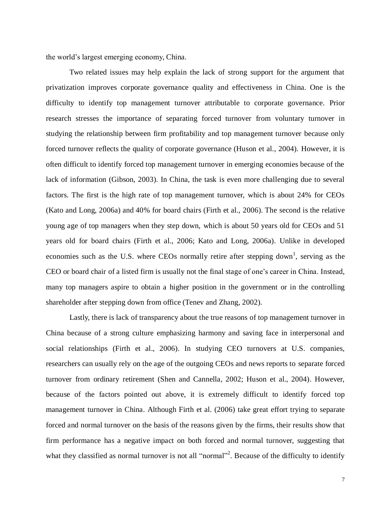the world's largest emerging economy, China.

Two related issues may help explain the lack of strong support for the argument that privatization improves corporate governance quality and effectiveness in China. One is the difficulty to identify top management turnover attributable to corporate governance. Prior research stresses the importance of separating forced turnover from voluntary turnover in studying the relationship between firm profitability and top management turnover because only forced turnover reflects the quality of corporate governance (Huson et al., 2004). However, it is often difficult to identify forced top management turnover in emerging economies because of the lack of information (Gibson, 2003). In China, the task is even more challenging due to several factors. The first is the high rate of top management turnover, which is about 24% for CEOs (Kato and Long, 2006a) and 40% for board chairs (Firth et al., 2006). The second is the relative young age of top managers when they step down, which is about 50 years old for CEOs and 51 years old for board chairs (Firth et al., 2006; Kato and Long, 2006a). Unlike in developed economies such as the U.S. where CEOs normally retire after stepping down<sup>1</sup>, serving as the CEO or board chair of a listed firm is usually not the final stage of one's career in China. Instead, many top managers aspire to obtain a higher position in the government or in the controlling shareholder after stepping down from office (Tenev and Zhang, 2002).

Lastly, there is lack of transparency about the true reasons of top management turnover in China because of a strong culture emphasizing harmony and saving face in interpersonal and social relationships (Firth et al., 2006). In studying CEO turnovers at U.S. companies, researchers can usually rely on the age of the outgoing CEOs and news reports to separate forced turnover from ordinary retirement (Shen and Cannella, 2002; Huson et al., 2004). However, because of the factors pointed out above, it is extremely difficult to identify forced top management turnover in China. Although Firth et al. (2006) take great effort trying to separate forced and normal turnover on the basis of the reasons given by the firms, their results show that firm performance has a negative impact on both forced and normal turnover, suggesting that what they classified as normal turnover is not all "normal"<sup>2</sup>. Because of the difficulty to identify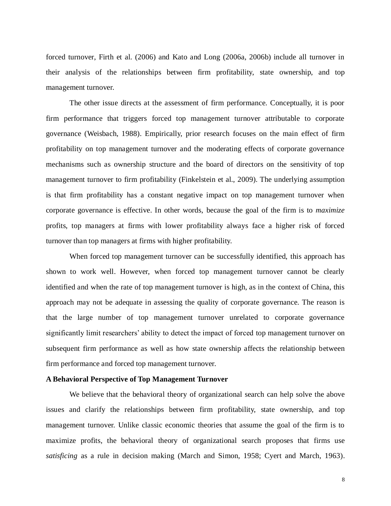forced turnover, Firth et al. (2006) and Kato and Long (2006a, 2006b) include all turnover in their analysis of the relationships between firm profitability, state ownership, and top management turnover.

The other issue directs at the assessment of firm performance. Conceptually, it is poor firm performance that triggers forced top management turnover attributable to corporate governance (Weisbach, 1988). Empirically, prior research focuses on the main effect of firm profitability on top management turnover and the moderating effects of corporate governance mechanisms such as ownership structure and the board of directors on the sensitivity of top management turnover to firm profitability (Finkelstein et al., 2009). The underlying assumption is that firm profitability has a constant negative impact on top management turnover when corporate governance is effective. In other words, because the goal of the firm is to *maximize* profits, top managers at firms with lower profitability always face a higher risk of forced turnover than top managers at firms with higher profitability.

When forced top management turnover can be successfully identified, this approach has shown to work well. However, when forced top management turnover cannot be clearly identified and when the rate of top management turnover is high, as in the context of China, this approach may not be adequate in assessing the quality of corporate governance. The reason is that the large number of top management turnover unrelated to corporate governance significantly limit researchers' ability to detect the impact of forced top management turnover on subsequent firm performance as well as how state ownership affects the relationship between firm performance and forced top management turnover.

#### **A Behavioral Perspective of Top Management Turnover**

We believe that the behavioral theory of organizational search can help solve the above issues and clarify the relationships between firm profitability, state ownership, and top management turnover. Unlike classic economic theories that assume the goal of the firm is to maximize profits, the behavioral theory of organizational search proposes that firms use *satisficing* as a rule in decision making (March and Simon, 1958; Cyert and March, 1963).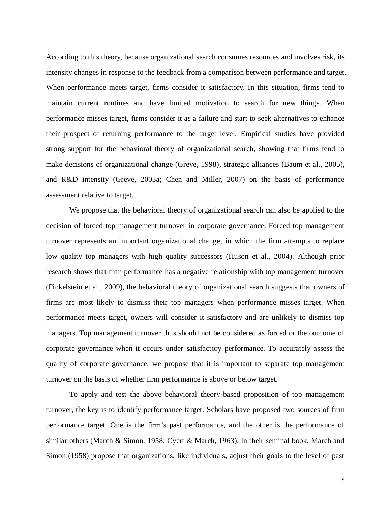According to this theory, because organizational search consumes resources and involves risk, its intensity changes in response to the feedback from a comparison between performance and target. When performance meets target, firms consider it satisfactory. In this situation, firms tend to maintain current routines and have limited motivation to search for new things. When performance misses target, firms consider it as a failure and start to seek alternatives to enhance their prospect of returning performance to the target level. Empirical studies have provided strong support for the behavioral theory of organizational search, showing that firms tend to make decisions of organizational change (Greve, 1998), strategic alliances (Baum et al., 2005), and R&D intensity (Greve, 2003a; Chen and Miller, 2007) on the basis of performance assessment relative to target.

We propose that the behavioral theory of organizational search can also be applied to the decision of forced top management turnover in corporate governance. Forced top management turnover represents an important organizational change, in which the firm attempts to replace low quality top managers with high quality successors (Huson et al., 2004). Although prior research shows that firm performance has a negative relationship with top management turnover (Finkelstein et al., 2009), the behavioral theory of organizational search suggests that owners of firms are most likely to dismiss their top managers when performance misses target. When performance meets target, owners will consider it satisfactory and are unlikely to dismiss top managers. Top management turnover thus should not be considered as forced or the outcome of corporate governance when it occurs under satisfactory performance. To accurately assess the quality of corporate governance, we propose that it is important to separate top management turnover on the basis of whether firm performance is above or below target.

To apply and test the above behavioral theory-based proposition of top management turnover, the key is to identify performance target. Scholars have proposed two sources of firm performance target. One is the firm's past performance, and the other is the performance of similar others (March & Simon, 1958; Cyert & March, 1963). In their seminal book, March and Simon (1958) propose that organizations, like individuals, adjust their goals to the level of past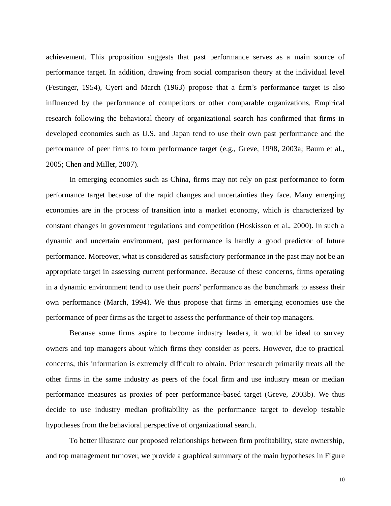achievement. This proposition suggests that past performance serves as a main source of performance target. In addition, drawing from social comparison theory at the individual level (Festinger, 1954), Cyert and March (1963) propose that a firm's performance target is also influenced by the performance of competitors or other comparable organizations. Empirical research following the behavioral theory of organizational search has confirmed that firms in developed economies such as U.S. and Japan tend to use their own past performance and the performance of peer firms to form performance target (e.g., Greve, 1998, 2003a; Baum et al., 2005; Chen and Miller, 2007).

In emerging economies such as China, firms may not rely on past performance to form performance target because of the rapid changes and uncertainties they face. Many emerging economies are in the process of transition into a market economy, which is characterized by constant changes in government regulations and competition (Hoskisson et al., 2000). In such a dynamic and uncertain environment, past performance is hardly a good predictor of future performance. Moreover, what is considered as satisfactory performance in the past may not be an appropriate target in assessing current performance. Because of these concerns, firms operating in a dynamic environment tend to use their peers' performance as the benchmark to assess their own performance (March, 1994). We thus propose that firms in emerging economies use the performance of peer firms as the target to assess the performance of their top managers.

Because some firms aspire to become industry leaders, it would be ideal to survey owners and top managers about which firms they consider as peers. However, due to practical concerns, this information is extremely difficult to obtain. Prior research primarily treats all the other firms in the same industry as peers of the focal firm and use industry mean or median performance measures as proxies of peer performance-based target (Greve, 2003b). We thus decide to use industry median profitability as the performance target to develop testable hypotheses from the behavioral perspective of organizational search.

To better illustrate our proposed relationships between firm profitability, state ownership, and top management turnover, we provide a graphical summary of the main hypotheses in Figure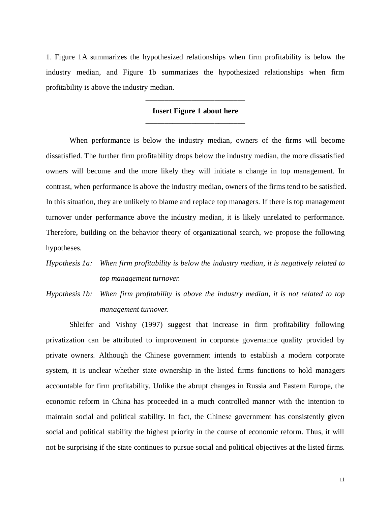1. Figure 1A summarizes the hypothesized relationships when firm profitability is below the industry median, and Figure 1b summarizes the hypothesized relationships when firm profitability is above the industry median.

## **Insert Figure 1 about here** \_\_\_\_\_\_\_\_\_\_\_\_\_\_\_\_\_\_\_\_\_\_\_\_\_\_

\_\_\_\_\_\_\_\_\_\_\_\_\_\_\_\_\_\_\_\_\_\_\_\_\_\_

When performance is below the industry median, owners of the firms will become dissatisfied. The further firm profitability drops below the industry median, the more dissatisfied owners will become and the more likely they will initiate a change in top management. In contrast, when performance is above the industry median, owners of the firms tend to be satisfied. In this situation, they are unlikely to blame and replace top managers. If there is top management turnover under performance above the industry median, it is likely unrelated to performance. Therefore, building on the behavior theory of organizational search, we propose the following hypotheses.

- *Hypothesis 1a: When firm profitability is below the industry median, it is negatively related to top management turnover.*
- *Hypothesis 1b: When firm profitability is above the industry median, it is not related to top management turnover.*

Shleifer and Vishny (1997) suggest that increase in firm profitability following privatization can be attributed to improvement in corporate governance quality provided by private owners. Although the Chinese government intends to establish a modern corporate system, it is unclear whether state ownership in the listed firms functions to hold managers accountable for firm profitability. Unlike the abrupt changes in Russia and Eastern Europe, the economic reform in China has proceeded in a much controlled manner with the intention to maintain social and political stability. In fact, the Chinese government has consistently given social and political stability the highest priority in the course of economic reform. Thus, it will not be surprising if the state continues to pursue social and political objectives at the listed firms.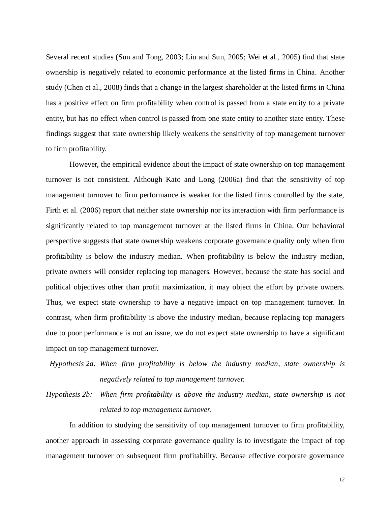Several recent studies (Sun and Tong, 2003; Liu and Sun, 2005; Wei et al., 2005) find that state ownership is negatively related to economic performance at the listed firms in China. Another study (Chen et al., 2008) finds that a change in the largest shareholder at the listed firms in China has a positive effect on firm profitability when control is passed from a state entity to a private entity, but has no effect when control is passed from one state entity to another state entity. These findings suggest that state ownership likely weakens the sensitivity of top management turnover to firm profitability.

However, the empirical evidence about the impact of state ownership on top management turnover is not consistent. Although Kato and Long (2006a) find that the sensitivity of top management turnover to firm performance is weaker for the listed firms controlled by the state, Firth et al. (2006) report that neither state ownership nor its interaction with firm performance is significantly related to top management turnover at the listed firms in China. Our behavioral perspective suggests that state ownership weakens corporate governance quality only when firm profitability is below the industry median. When profitability is below the industry median, private owners will consider replacing top managers. However, because the state has social and political objectives other than profit maximization, it may object the effort by private owners. Thus, we expect state ownership to have a negative impact on top management turnover. In contrast, when firm profitability is above the industry median, because replacing top managers due to poor performance is not an issue, we do not expect state ownership to have a significant impact on top management turnover.

*Hypothesis 2a: When firm profitability is below the industry median, state ownership is negatively related to top management turnover.*

*Hypothesis 2b: When firm profitability is above the industry median, state ownership is not related to top management turnover.*

In addition to studying the sensitivity of top management turnover to firm profitability, another approach in assessing corporate governance quality is to investigate the impact of top management turnover on subsequent firm profitability. Because effective corporate governance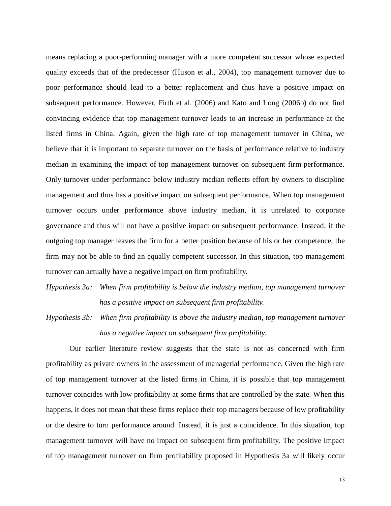means replacing a poor-performing manager with a more competent successor whose expected quality exceeds that of the predecessor (Huson et al., 2004), top management turnover due to poor performance should lead to a better replacement and thus have a positive impact on subsequent performance. However, Firth et al. (2006) and Kato and Long (2006b) do not find convincing evidence that top management turnover leads to an increase in performance at the listed firms in China. Again, given the high rate of top management turnover in China, we believe that it is important to separate turnover on the basis of performance relative to industry median in examining the impact of top management turnover on subsequent firm performance. Only turnover under performance below industry median reflects effort by owners to discipline management and thus has a positive impact on subsequent performance. When top management turnover occurs under performance above industry median, it is unrelated to corporate governance and thus will not have a positive impact on subsequent performance. Instead, if the outgoing top manager leaves the firm for a better position because of his or her competence, the firm may not be able to find an equally competent successor. In this situation, top management turnover can actually have a negative impact on firm profitability.

*Hypothesis 3a: When firm profitability is below the industry median, top management turnover has a positive impact on subsequent firm profitability.* 

*Hypothesis 3b: When firm profitability is above the industry median, top management turnover has a negative impact on subsequent firm profitability.*

Our earlier literature review suggests that the state is not as concerned with firm profitability as private owners in the assessment of managerial performance. Given the high rate of top management turnover at the listed firms in China, it is possible that top management turnover coincides with low profitability at some firms that are controlled by the state. When this happens, it does not mean that these firms replace their top managers because of low profitability or the desire to turn performance around. Instead, it is just a coincidence. In this situation, top management turnover will have no impact on subsequent firm profitability. The positive impact of top management turnover on firm profitability proposed in Hypothesis 3a will likely occur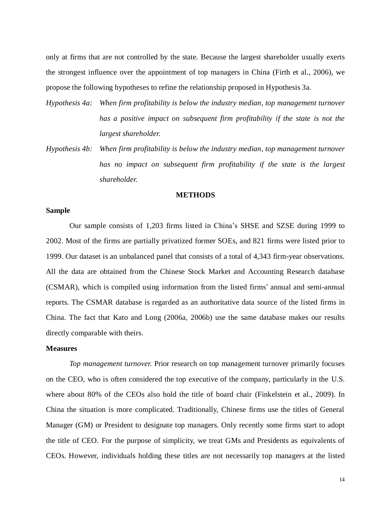only at firms that are not controlled by the state. Because the largest shareholder usually exerts the strongest influence over the appointment of top managers in China (Firth et al., 2006), we propose the following hypotheses to refine the relationship proposed in Hypothesis 3a.

*Hypothesis 4a: When firm profitability is below the industry median, top management turnover has a positive impact on subsequent firm profitability if the state is not the largest shareholder.*

*Hypothesis 4b: When firm profitability is below the industry median, top management turnover has no impact on subsequent firm profitability if the state is the largest shareholder.* 

#### **METHODS**

#### **Sample**

Our sample consists of 1,203 firms listed in China's SHSE and SZSE during 1999 to 2002. Most of the firms are partially privatized former SOEs, and 821 firms were listed prior to 1999. Our dataset is an unbalanced panel that consists of a total of 4,343 firm-year observations. All the data are obtained from the Chinese Stock Market and Accounting Research database (CSMAR), which is compiled using information from the listed firms' annual and semi-annual reports. The CSMAR database is regarded as an authoritative data source of the listed firms in China. The fact that Kato and Long (2006a, 2006b) use the same database makes our results directly comparable with theirs.

#### **Measures**

*Top management turnover.* Prior research on top management turnover primarily focuses on the CEO, who is often considered the top executive of the company, particularly in the U.S. where about 80% of the CEOs also hold the title of board chair (Finkelstein et al., 2009). In China the situation is more complicated. Traditionally, Chinese firms use the titles of General Manager (GM) or President to designate top managers. Only recently some firms start to adopt the title of CEO. For the purpose of simplicity, we treat GMs and Presidents as equivalents of CEOs. However, individuals holding these titles are not necessarily top managers at the listed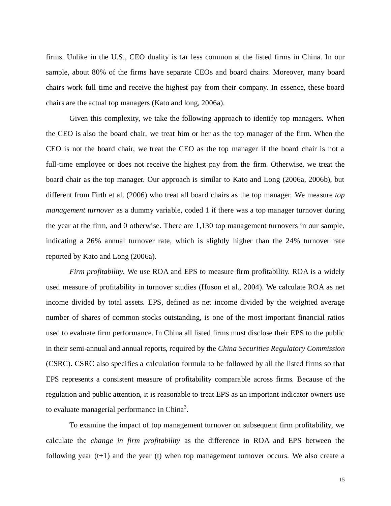firms. Unlike in the U.S., CEO duality is far less common at the listed firms in China. In our sample, about 80% of the firms have separate CEOs and board chairs. Moreover, many board chairs work full time and receive the highest pay from their company. In essence, these board chairs are the actual top managers (Kato and long, 2006a).

Given this complexity, we take the following approach to identify top managers. When the CEO is also the board chair, we treat him or her as the top manager of the firm. When the CEO is not the board chair, we treat the CEO as the top manager if the board chair is not a full-time employee or does not receive the highest pay from the firm. Otherwise, we treat the board chair as the top manager. Our approach is similar to Kato and Long (2006a, 2006b), but different from Firth et al. (2006) who treat all board chairs as the top manager. We measure *top management turnover* as a dummy variable, coded 1 if there was a top manager turnover during the year at the firm, and 0 otherwise. There are 1,130 top management turnovers in our sample, indicating a 26% annual turnover rate, which is slightly higher than the 24% turnover rate reported by Kato and Long (2006a).

*Firm profitability.* We use ROA and EPS to measure firm profitability. ROA is a widely used measure of profitability in turnover studies (Huson et al., 2004). We calculate ROA as net income divided by total assets. EPS, defined as net income divided by the weighted average number of shares of common stocks outstanding, is one of the most important financial ratios used to evaluate firm performance. In China all listed firms must disclose their EPS to the public in their semi-annual and annual reports, required by the *China Securities Regulatory Commission* (CSRC). CSRC also specifies a calculation formula to be followed by all the listed firms so that EPS represents a consistent measure of profitability comparable across firms. Because of the regulation and public attention, it is reasonable to treat EPS as an important indicator owners use to evaluate managerial performance in China<sup>3</sup>.

To examine the impact of top management turnover on subsequent firm profitability, we calculate the *change in firm profitability* as the difference in ROA and EPS between the following year  $(t+1)$  and the year (t) when top management turnover occurs. We also create a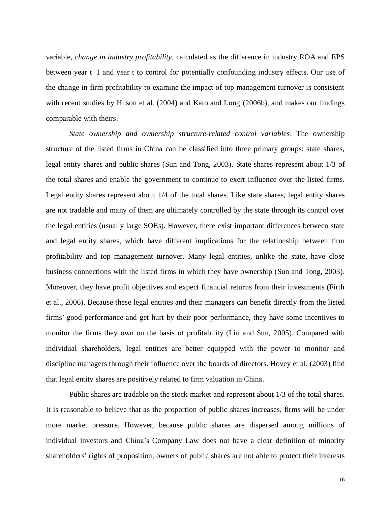variable, *change in industry profitability*, calculated as the difference in industry ROA and EPS between year t+1 and year t to control for potentially confounding industry effects. Our use of the change in firm profitability to examine the impact of top management turnover is consistent with recent studies by Huson et al. (2004) and Kato and Long (2006b), and makes our findings comparable with theirs.

*State ownership and ownership structure-related control variables*. The ownership structure of the listed firms in China can be classified into three primary groups: state shares, legal entity shares and public shares (Sun and Tong, 2003). State shares represent about 1/3 of the total shares and enable the government to continue to exert influence over the listed firms. Legal entity shares represent about 1/4 of the total shares. Like state shares, legal entity shares are not tradable and many of them are ultimately controlled by the state through its control over the legal entities (usually large SOEs). However, there exist important differences between state and legal entity shares, which have different implications for the relationship between firm profitability and top management turnover. Many legal entities, unlike the state, have close business connections with the listed firms in which they have ownership (Sun and Tong, 2003). Moreover, they have profit objectives and expect financial returns from their investments (Firth et al., 2006). Because these legal entities and their managers can benefit directly from the listed firms' good performance and get hurt by their poor performance, they have some incentives to monitor the firms they own on the basis of profitability (Liu and Sun, 2005). Compared with individual shareholders, legal entities are better equipped with the power to monitor and discipline managers through their influence over the boards of directors. Hovey et al. (2003) find that legal entity shares are positively related to firm valuation in China.

Public shares are tradable on the stock market and represent about 1/3 of the total shares. It is reasonable to believe that as the proportion of public shares increases, firms will be under more market pressure. However, because public shares are dispersed among millions of individual investors and China's Company Law does not have a clear definition of minority shareholders' rights of proposition, owners of public shares are not able to protect their interests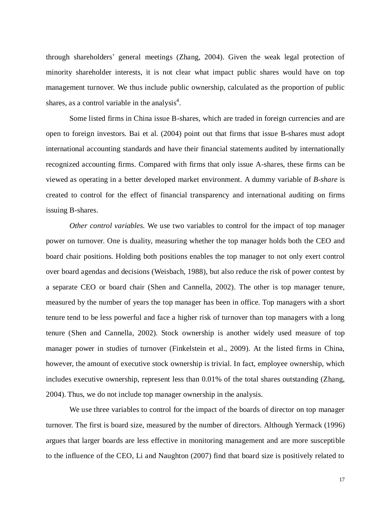through shareholders' general meetings (Zhang, 2004). Given the weak legal protection of minority shareholder interests, it is not clear what impact public shares would have on top management turnover. We thus include public ownership, calculated as the proportion of public shares, as a control variable in the analysis<sup>4</sup>.

Some listed firms in China issue B-shares, which are traded in foreign currencies and are open to foreign investors. Bai et al. (2004) point out that firms that issue B-shares must adopt international accounting standards and have their financial statements audited by internationally recognized accounting firms. Compared with firms that only issue A-shares, these firms can be viewed as operating in a better developed market environment. A dummy variable of *B-share* is created to control for the effect of financial transparency and international auditing on firms issuing B-shares.

*Other control variables.* We use two variables to control for the impact of top manager power on turnover. One is duality, measuring whether the top manager holds both the CEO and board chair positions. Holding both positions enables the top manager to not only exert control over board agendas and decisions (Weisbach, 1988), but also reduce the risk of power contest by a separate CEO or board chair (Shen and Cannella, 2002). The other is top manager tenure, measured by the number of years the top manager has been in office. Top managers with a short tenure tend to be less powerful and face a higher risk of turnover than top managers with a long tenure (Shen and Cannella, 2002). Stock ownership is another widely used measure of top manager power in studies of turnover (Finkelstein et al., 2009). At the listed firms in China, however, the amount of executive stock ownership is trivial. In fact, employee ownership, which includes executive ownership, represent less than 0.01% of the total shares outstanding (Zhang, 2004). Thus, we do not include top manager ownership in the analysis.

We use three variables to control for the impact of the boards of director on top manager turnover. The first is board size, measured by the number of directors. Although Yermack (1996) argues that larger boards are less effective in monitoring management and are more susceptible to the influence of the CEO, Li and Naughton (2007) find that board size is positively related to

17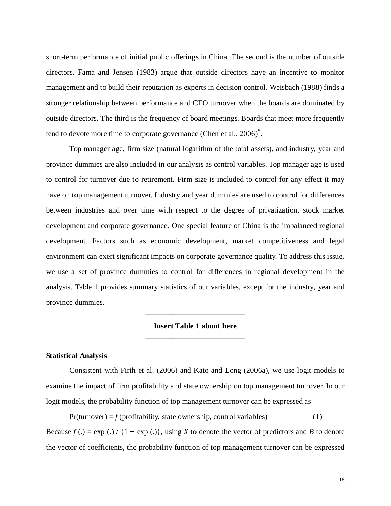short-term performance of initial public offerings in China. The second is the number of outside directors. Fama and Jensen (1983) argue that outside directors have an incentive to monitor management and to build their reputation as experts in decision control. Weisbach (1988) finds a stronger relationship between performance and CEO turnover when the boards are dominated by outside directors. The third is the frequency of board meetings. Boards that meet more frequently tend to devote more time to corporate governance (Chen et al.,  $2006$ )<sup>5</sup>.

Top manager age*,* firm size (natural logarithm of the total assets), and industry, year and province dummies are also included in our analysis as control variables. Top manager age is used to control for turnover due to retirement. Firm size is included to control for any effect it may have on top management turnover. Industry and year dummies are used to control for differences between industries and over time with respect to the degree of privatization, stock market development and corporate governance. One special feature of China is the imbalanced regional development. Factors such as economic development, market competitiveness and legal environment can exert significant impacts on corporate governance quality. To address this issue, we use a set of province dummies to control for differences in regional development in the analysis. Table 1 provides summary statistics of our variables, except for the industry, year and province dummies.

# **Insert Table 1 about here** \_\_\_\_\_\_\_\_\_\_\_\_\_\_\_\_\_\_\_\_\_\_\_\_\_\_

\_\_\_\_\_\_\_\_\_\_\_\_\_\_\_\_\_\_\_\_\_\_\_\_\_\_

#### **Statistical Analysis**

Consistent with Firth et al. (2006) and Kato and Long (2006a), we use logit models to examine the impact of firm profitability and state ownership on top management turnover. In our logit models, the probability function of top management turnover can be expressed as

 $Pr(turnover) = f (profitability, state ownership, control variables)$  (1) Because  $f(.) = \exp(.) / \{1 + \exp(.)\}$ , using *X* to denote the vector of predictors and *B* to denote the vector of coefficients, the probability function of top management turnover can be expressed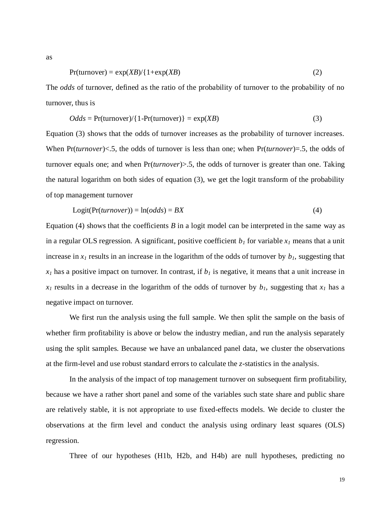as

$$
Pr(turnover) = \exp(XB)/\{1+\exp(XB)
$$
 (2)

The *odds* of turnover, defined as the ratio of the probability of turnover to the probability of no turnover, thus is

$$
Odds = \Pr(turnover) / \{1 - \Pr(turnover)\} = \exp(XB)
$$
\n(3)

Equation (3) shows that the odds of turnover increases as the probability of turnover increases. When Pr(*turnover*)<.5, the odds of turnover is less than one; when Pr(*turnover*)=.5, the odds of turnover equals one; and when Pr(*turnover*)>.5, the odds of turnover is greater than one. Taking the natural logarithm on both sides of equation (3), we get the logit transform of the probability of top management turnover

$$
Logit(Pr(turnover)) = ln(odds) = BX
$$
\n(4)

Equation (4) shows that the coefficients *B* in a logit model can be interpreted in the same way as in a regular OLS regression. A significant, positive coefficient  $b<sub>1</sub>$  for variable  $x<sub>1</sub>$  means that a unit increase in  $x_I$  results in an increase in the logarithm of the odds of turnover by  $b_I$ , suggesting that  $x_I$  has a positive impact on turnover. In contrast, if  $b_I$  is negative, it means that a unit increase in  $x_I$  results in a decrease in the logarithm of the odds of turnover by  $b_I$ , suggesting that  $x_I$  has a negative impact on turnover.

We first run the analysis using the full sample. We then split the sample on the basis of whether firm profitability is above or below the industry median, and run the analysis separately using the split samples. Because we have an unbalanced panel data, we cluster the observations at the firm-level and use robust standard errors to calculate the *z*-statistics in the analysis.

In the analysis of the impact of top management turnover on subsequent firm profitability, because we have a rather short panel and some of the variables such state share and public share are relatively stable, it is not appropriate to use fixed-effects models. We decide to cluster the observations at the firm level and conduct the analysis using ordinary least squares (OLS) regression.

Three of our hypotheses (H1b, H2b, and H4b) are null hypotheses, predicting no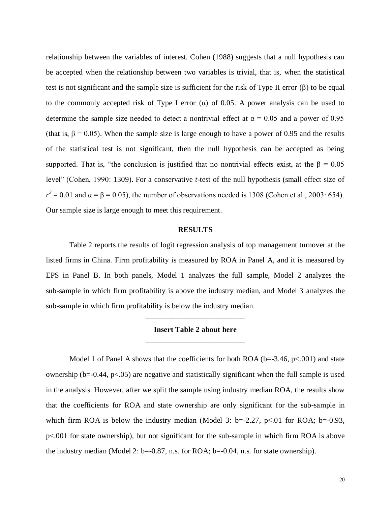relationship between the variables of interest. Cohen (1988) suggests that a null hypothesis can be accepted when the relationship between two variables is trivial, that is, when the statistical test is not significant and the sample size is sufficient for the risk of Type II error (β) to be equal to the commonly accepted risk of Type I error ( $\alpha$ ) of 0.05. A power analysis can be used to determine the sample size needed to detect a nontrivial effect at  $\alpha = 0.05$  and a power of 0.95 (that is,  $\beta = 0.05$ ). When the sample size is large enough to have a power of 0.95 and the results of the statistical test is not significant, then the null hypothesis can be accepted as being supported. That is, "the conclusion is justified that no nontrivial effects exist, at the  $\beta = 0.05$ level" (Cohen, 1990: 1309). For a conservative *t*-test of the null hypothesis (small effect size of  $r^2 = 0.01$  and  $\alpha = \beta = 0.05$ ), the number of observations needed is 1308 (Cohen et al., 2003: 654). Our sample size is large enough to meet this requirement.

#### **RESULTS**

Table 2 reports the results of logit regression analysis of top management turnover at the listed firms in China. Firm profitability is measured by ROA in Panel A, and it is measured by EPS in Panel B. In both panels, Model 1 analyzes the full sample, Model 2 analyzes the sub-sample in which firm profitability is above the industry median, and Model 3 analyzes the sub-sample in which firm profitability is below the industry median.

# **Insert Table 2 about here** \_\_\_\_\_\_\_\_\_\_\_\_\_\_\_\_\_\_\_\_\_\_\_\_\_\_

\_\_\_\_\_\_\_\_\_\_\_\_\_\_\_\_\_\_\_\_\_\_\_\_\_\_

Model 1 of Panel A shows that the coefficients for both ROA ( $b=-3.46$ ,  $p<-0.001$ ) and state ownership (b=-0.44, p<.05) are negative and statistically significant when the full sample is used in the analysis. However, after we split the sample using industry median ROA, the results show that the coefficients for ROA and state ownership are only significant for the sub-sample in which firm ROA is below the industry median (Model 3:  $b = -2.27$ ,  $p < 01$  for ROA;  $b = -0.93$ , p<.001 for state ownership), but not significant for the sub-sample in which firm ROA is above the industry median (Model 2:  $b = -0.87$ , n.s. for ROA;  $b = -0.04$ , n.s. for state ownership).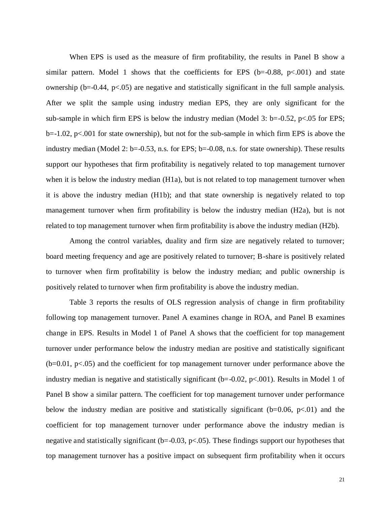When EPS is used as the measure of firm profitability, the results in Panel B show a similar pattern. Model 1 shows that the coefficients for EPS ( $b$ =-0.88,  $p$ <.001) and state ownership (b=-0.44, p<.05) are negative and statistically significant in the full sample analysis. After we split the sample using industry median EPS, they are only significant for the sub-sample in which firm EPS is below the industry median (Model 3:  $b=-0.52$ ,  $p<.05$  for EPS; b=-1.02, p<.001 for state ownership), but not for the sub-sample in which firm EPS is above the industry median (Model 2: b=-0.53, n.s. for EPS; b=-0.08, n.s. for state ownership). These results support our hypotheses that firm profitability is negatively related to top management turnover when it is below the industry median (H1a), but is not related to top management turnover when it is above the industry median (H1b); and that state ownership is negatively related to top management turnover when firm profitability is below the industry median (H2a), but is not related to top management turnover when firm profitability is above the industry median (H2b).

Among the control variables, duality and firm size are negatively related to turnover; board meeting frequency and age are positively related to turnover; B-share is positively related to turnover when firm profitability is below the industry median; and public ownership is positively related to turnover when firm profitability is above the industry median.

Table 3 reports the results of OLS regression analysis of change in firm profitability following top management turnover. Panel A examines change in ROA, and Panel B examines change in EPS. Results in Model 1 of Panel A shows that the coefficient for top management turnover under performance below the industry median are positive and statistically significant  $(b=0.01, p<0.05)$  and the coefficient for top management turnover under performance above the industry median is negative and statistically significant (b=-0.02, p<.001). Results in Model 1 of Panel B show a similar pattern. The coefficient for top management turnover under performance below the industry median are positive and statistically significant ( $b=0.06$ ,  $p<0.01$ ) and the coefficient for top management turnover under performance above the industry median is negative and statistically significant ( $b=-0.03$ ,  $p<-0.05$ ). These findings support our hypotheses that top management turnover has a positive impact on subsequent firm profitability when it occurs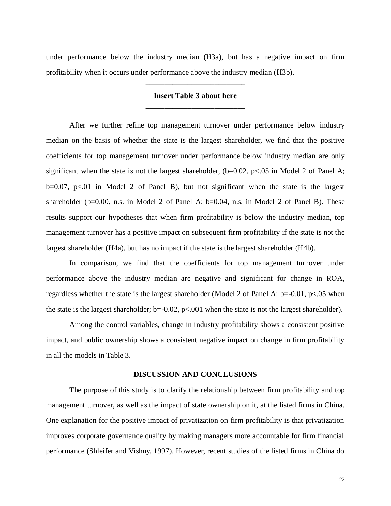under performance below the industry median (H3a), but has a negative impact on firm profitability when it occurs under performance above the industry median (H3b).

\_\_\_\_\_\_\_\_\_\_\_\_\_\_\_\_\_\_\_\_\_\_\_\_\_\_

# **Insert Table 3 about here** \_\_\_\_\_\_\_\_\_\_\_\_\_\_\_\_\_\_\_\_\_\_\_\_\_\_

After we further refine top management turnover under performance below industry median on the basis of whether the state is the largest shareholder, we find that the positive coefficients for top management turnover under performance below industry median are only significant when the state is not the largest shareholder,  $(b=0.02, p<0.05$  in Model 2 of Panel A;  $b=0.07$ ,  $p<01$  in Model 2 of Panel B), but not significant when the state is the largest shareholder (b=0.00, n.s. in Model 2 of Panel A; b=0.04, n.s. in Model 2 of Panel B). These results support our hypotheses that when firm profitability is below the industry median, top management turnover has a positive impact on subsequent firm profitability if the state is not the largest shareholder (H4a), but has no impact if the state is the largest shareholder (H4b).

In comparison, we find that the coefficients for top management turnover under performance above the industry median are negative and significant for change in ROA, regardless whether the state is the largest shareholder (Model 2 of Panel A: b=-0.01, p<.05 when the state is the largest shareholder;  $b=-0.02$ ,  $p<0.01$  when the state is not the largest shareholder).

Among the control variables, change in industry profitability shows a consistent positive impact, and public ownership shows a consistent negative impact on change in firm profitability in all the models in Table 3.

#### **DISCUSSION AND CONCLUSIONS**

The purpose of this study is to clarify the relationship between firm profitability and top management turnover, as well as the impact of state ownership on it, at the listed firms in China. One explanation for the positive impact of privatization on firm profitability is that privatization improves corporate governance quality by making managers more accountable for firm financial performance (Shleifer and Vishny, 1997). However, recent studies of the listed firms in China do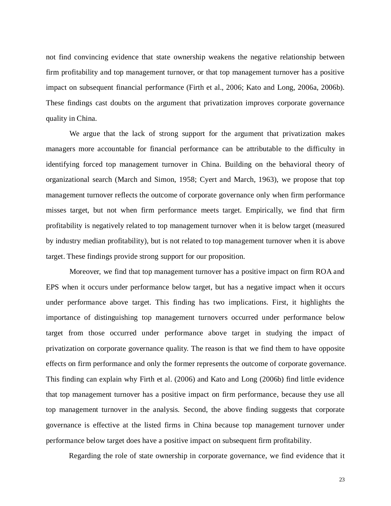not find convincing evidence that state ownership weakens the negative relationship between firm profitability and top management turnover, or that top management turnover has a positive impact on subsequent financial performance (Firth et al., 2006; Kato and Long, 2006a, 2006b). These findings cast doubts on the argument that privatization improves corporate governance quality in China.

We argue that the lack of strong support for the argument that privatization makes managers more accountable for financial performance can be attributable to the difficulty in identifying forced top management turnover in China. Building on the behavioral theory of organizational search (March and Simon, 1958; Cyert and March, 1963), we propose that top management turnover reflects the outcome of corporate governance only when firm performance misses target, but not when firm performance meets target. Empirically, we find that firm profitability is negatively related to top management turnover when it is below target (measured by industry median profitability), but is not related to top management turnover when it is above target. These findings provide strong support for our proposition.

Moreover, we find that top management turnover has a positive impact on firm ROA and EPS when it occurs under performance below target, but has a negative impact when it occurs under performance above target. This finding has two implications. First, it highlights the importance of distinguishing top management turnovers occurred under performance below target from those occurred under performance above target in studying the impact of privatization on corporate governance quality. The reason is that we find them to have opposite effects on firm performance and only the former represents the outcome of corporate governance. This finding can explain why Firth et al. (2006) and Kato and Long (2006b) find little evidence that top management turnover has a positive impact on firm performance, because they use all top management turnover in the analysis. Second, the above finding suggests that corporate governance is effective at the listed firms in China because top management turnover under performance below target does have a positive impact on subsequent firm profitability.

Regarding the role of state ownership in corporate governance, we find evidence that it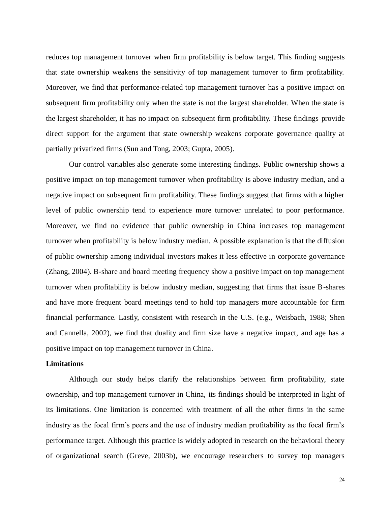reduces top management turnover when firm profitability is below target. This finding suggests that state ownership weakens the sensitivity of top management turnover to firm profitability. Moreover, we find that performance-related top management turnover has a positive impact on subsequent firm profitability only when the state is not the largest shareholder. When the state is the largest shareholder, it has no impact on subsequent firm profitability. These findings provide direct support for the argument that state ownership weakens corporate governance quality at partially privatized firms (Sun and Tong, 2003; Gupta, 2005).

Our control variables also generate some interesting findings. Public ownership shows a positive impact on top management turnover when profitability is above industry median, and a negative impact on subsequent firm profitability. These findings suggest that firms with a higher level of public ownership tend to experience more turnover unrelated to poor performance. Moreover, we find no evidence that public ownership in China increases top management turnover when profitability is below industry median. A possible explanation is that the diffusion of public ownership among individual investors makes it less effective in corporate governance (Zhang, 2004). B-share and board meeting frequency show a positive impact on top management turnover when profitability is below industry median, suggesting that firms that issue B-shares and have more frequent board meetings tend to hold top managers more accountable for firm financial performance. Lastly, consistent with research in the U.S. (e.g., Weisbach, 1988; Shen and Cannella, 2002), we find that duality and firm size have a negative impact, and age has a positive impact on top management turnover in China.

#### **Limitations**

Although our study helps clarify the relationships between firm profitability, state ownership, and top management turnover in China, its findings should be interpreted in light of its limitations. One limitation is concerned with treatment of all the other firms in the same industry as the focal firm's peers and the use of industry median profitability as the focal firm's performance target. Although this practice is widely adopted in research on the behavioral theory of organizational search (Greve, 2003b), we encourage researchers to survey top managers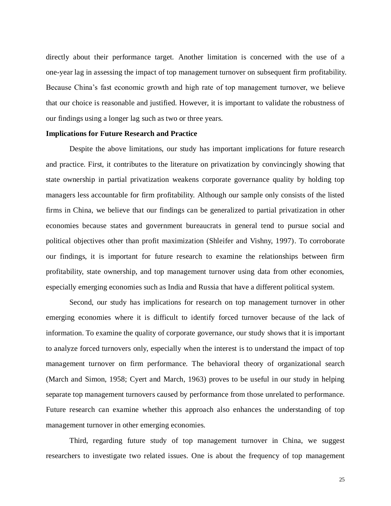directly about their performance target. Another limitation is concerned with the use of a one-year lag in assessing the impact of top management turnover on subsequent firm profitability. Because China's fast economic growth and high rate of top management turnover, we believe that our choice is reasonable and justified. However, it is important to validate the robustness of our findings using a longer lag such as two or three years.

#### **Implications for Future Research and Practice**

Despite the above limitations, our study has important implications for future research and practice. First, it contributes to the literature on privatization by convincingly showing that state ownership in partial privatization weakens corporate governance quality by holding top managers less accountable for firm profitability. Although our sample only consists of the listed firms in China, we believe that our findings can be generalized to partial privatization in other economies because states and government bureaucrats in general tend to pursue social and political objectives other than profit maximization (Shleifer and Vishny, 1997). To corroborate our findings, it is important for future research to examine the relationships between firm profitability, state ownership, and top management turnover using data from other economies, especially emerging economies such as India and Russia that have a different political system.

Second, our study has implications for research on top management turnover in other emerging economies where it is difficult to identify forced turnover because of the lack of information. To examine the quality of corporate governance, our study shows that it is important to analyze forced turnovers only, especially when the interest is to understand the impact of top management turnover on firm performance. The behavioral theory of organizational search (March and Simon, 1958; Cyert and March, 1963) proves to be useful in our study in helping separate top management turnovers caused by performance from those unrelated to performance. Future research can examine whether this approach also enhances the understanding of top management turnover in other emerging economies.

Third, regarding future study of top management turnover in China, we suggest researchers to investigate two related issues. One is about the frequency of top management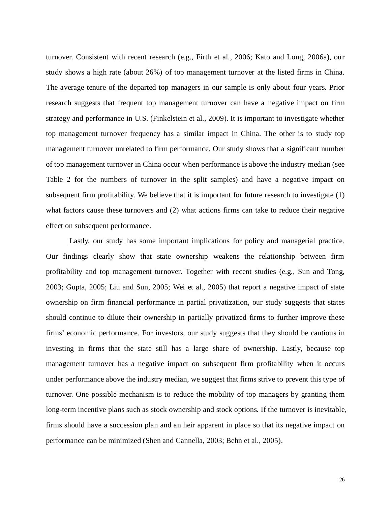turnover. Consistent with recent research (e.g., Firth et al., 2006; Kato and Long, 2006a), our study shows a high rate (about 26%) of top management turnover at the listed firms in China. The average tenure of the departed top managers in our sample is only about four years. Prior research suggests that frequent top management turnover can have a negative impact on firm strategy and performance in U.S. (Finkelstein et al., 2009). It is important to investigate whether top management turnover frequency has a similar impact in China. The other is to study top management turnover unrelated to firm performance. Our study shows that a significant number of top management turnover in China occur when performance is above the industry median (see Table 2 for the numbers of turnover in the split samples) and have a negative impact on subsequent firm profitability. We believe that it is important for future research to investigate (1) what factors cause these turnovers and (2) what actions firms can take to reduce their negative effect on subsequent performance.

Lastly, our study has some important implications for policy and managerial practice. Our findings clearly show that state ownership weakens the relationship between firm profitability and top management turnover. Together with recent studies (e.g., Sun and Tong, 2003; Gupta, 2005; Liu and Sun, 2005; Wei et al., 2005) that report a negative impact of state ownership on firm financial performance in partial privatization, our study suggests that states should continue to dilute their ownership in partially privatized firms to further improve these firms' economic performance. For investors, our study suggests that they should be cautious in investing in firms that the state still has a large share of ownership. Lastly, because top management turnover has a negative impact on subsequent firm profitability when it occurs under performance above the industry median, we suggest that firms strive to prevent this type of turnover. One possible mechanism is to reduce the mobility of top managers by granting them long-term incentive plans such as stock ownership and stock options. If the turnover is inevitable, firms should have a succession plan and an heir apparent in place so that its negative impact on performance can be minimized (Shen and Cannella, 2003; Behn et al., 2005).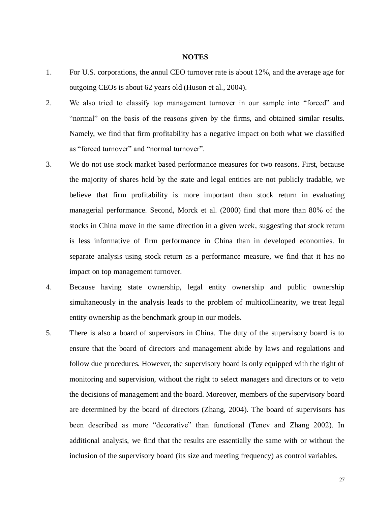#### **NOTES**

- 1. For U.S. corporations, the annul CEO turnover rate is about 12%, and the average age for outgoing CEOs is about 62 years old (Huson et al., 2004).
- 2. We also tried to classify top management turnover in our sample into "forced" and "normal" on the basis of the reasons given by the firms, and obtained similar results. Namely, we find that firm profitability has a negative impact on both what we classified as "forced turnover" and "normal turnover".
- 3. We do not use stock market based performance measures for two reasons. First, because the majority of shares held by the state and legal entities are not publicly tradable, we believe that firm profitability is more important than stock return in evaluating managerial performance. Second, Morck et al. (2000) find that more than 80% of the stocks in China move in the same direction in a given week, suggesting that stock return is less informative of firm performance in China than in developed economies. In separate analysis using stock return as a performance measure, we find that it has no impact on top management turnover.
- 4. Because having state ownership, legal entity ownership and public ownership simultaneously in the analysis leads to the problem of multicollinearity, we treat legal entity ownership as the benchmark group in our models.
- 5. There is also a board of supervisors in China. The duty of the supervisory board is to ensure that the board of directors and management abide by laws and regulations and follow due procedures. However, the supervisory board is only equipped with the right of monitoring and supervision, without the right to select managers and directors or to veto the decisions of management and the board. Moreover, members of the supervisory board are determined by the board of directors (Zhang, 2004). The board of supervisors has been described as more "decorative" than functional (Tenev and Zhang 2002). In additional analysis, we find that the results are essentially the same with or without the inclusion of the supervisory board (its size and meeting frequency) as control variables.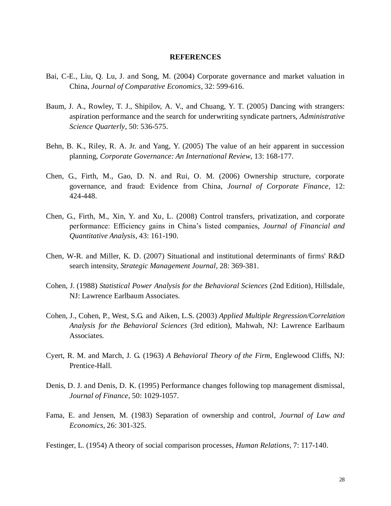#### **REFERENCES**

- Bai, C-E., Liu, Q. Lu, J. and Song, M. (2004) Corporate governance and market valuation in China, *Journal of Comparative Economics,* 32: 599-616.
- Baum, J. A., Rowley, T. J., Shipilov, A. V., and Chuang, Y. T. (2005) Dancing with strangers: aspiration performance and the search for underwriting syndicate partners, *Administrative Science Quarterly*, 50: 536-575.
- Behn, B. K., Riley, R. A. Jr. and Yang, Y. (2005) The value of an heir apparent in succession planning, *Corporate Governance: An International Review*, 13: 168-177.
- Chen, G., Firth, M., Gao, D. N. and Rui, O. M. (2006) Ownership structure, corporate governance, and fraud: Evidence from China, *Journal of Corporate Finance*, 12: 424-448.
- Chen, G., Firth, M., Xin, Y. and Xu, L. (2008) Control transfers, privatization, and corporate performance: Efficiency gains in China's listed companies, *Journal of Financial and Quantitative Analysis*, 43: 161-190.
- Chen, W-R. and Miller, K. D. (2007) Situational and institutional determinants of firms' R&D search intensity, *Strategic Management Journal,* 28: 369-381.
- Cohen, J. (1988) *Statistical Power Analysis for the Behavioral Sciences* (2nd Edition), Hillsdale, NJ: Lawrence Earlbaum Associates.
- Cohen, J., Cohen, P., West, S.G. and Aiken, L.S. (2003) *Applied Multiple Regression/Correlation Analysis for the Behavioral Sciences* (3rd edition), Mahwah, NJ: Lawrence Earlbaum Associates.
- Cyert, R. M. and March, J. G. (1963) *A Behavioral Theory of the Firm*, Englewood Cliffs, NJ: Prentice-Hall.
- Denis, D. J. and Denis, D. K. (1995) Performance changes following top management dismissal, *Journal of Finance,* 50: 1029-1057.
- Fama, E. and Jensen, M. (1983) Separation of ownership and control, *Journal of Law and Economics*, 26: 301-325.

Festinger, L. (1954) A theory of social comparison processes, *Human Relations*, 7: 117-140.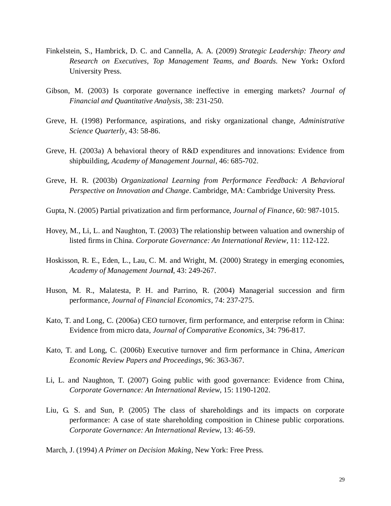- Finkelstein, S., Hambrick, D. C. and Cannella, A. A. (2009) *Strategic Leadership: Theory and Research on Executives, Top Management Teams, and Boards.* New York**:** Oxford University Press.
- Gibson, M. (2003) Is corporate governance ineffective in emerging markets? *Journal of Financial and Quantitative Analysis,* 38: 231-250.
- Greve, H. (1998) Performance, aspirations, and risky organizational change, *Administrative Science Quarterly*, 43: 58-86.
- Greve, H. (2003a) A behavioral theory of R&D expenditures and innovations: Evidence from shipbuilding, *Academy of Management Journal*, 46: 685-702.
- Greve, H. R. (2003b) *Organizational Learning from Performance Feedback: A Behavioral Perspective on Innovation and Change*. Cambridge, MA: Cambridge University Press.
- Gupta, N. (2005) Partial privatization and firm performance, *Journal of Finance*, 60: 987-1015.
- Hovey, M., Li, L. and Naughton, T. (2003) The relationship between valuation and ownership of listed firms in China. *Corporate Governance: An International Review*, 11: 112-122.
- Hoskisson, R. E., Eden, L., Lau, C. M. and Wright, M. (2000) Strategy in emerging economies, *Academy of Management Journal*, 43: 249-267.
- Huson, M. R., Malatesta, P. H. and Parrino, R. (2004) Managerial succession and firm performance, *Journal of Financial Economics*, 74: 237-275.
- Kato, T. and Long, C. (2006a) CEO turnover, firm performance, and enterprise reform in China: Evidence from micro data, *Journal of Comparative Economics*, 34: 796-817.
- Kato, T. and Long, C. (2006b) Executive turnover and firm performance in China, *American Economic Review Papers and Proceedings*, 96: 363-367.
- Li, L. and Naughton, T. (2007) Going public with good governance: Evidence from China, *Corporate Governance: An International Review*, 15: 1190-1202.
- Liu, G. S. and Sun, P. (2005) The class of shareholdings and its impacts on corporate performance: A case of state shareholding composition in Chinese public corporations. *Corporate Governance: An International Review*, 13: 46-59.

March, J. (1994) *A Primer on Decision Making,* New York: Free Press.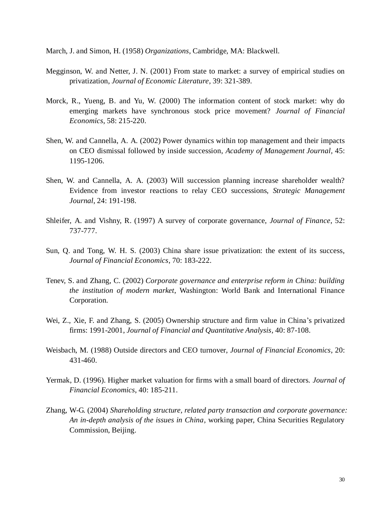March, J. and Simon, H. (1958) *Organizations*, Cambridge, MA: Blackwell.

- Megginson, W. and Netter, J. N. (2001) From state to market: a survey of empirical studies on privatization, *Journal of Economic Literature,* 39: 321-389.
- Morck, R., Yueng, B. and Yu, W. (2000) The information content of stock market: why do emerging markets have synchronous stock price movement? *Journal of Financial Economics*, 58: 215-220.
- Shen, W. and Cannella, A. A. (2002) Power dynamics within top management and their impacts on CEO dismissal followed by inside succession, *Academy of Management Journal,* 45: 1195-1206.
- Shen, W. and Cannella, A. A. (2003) Will succession planning increase shareholder wealth? Evidence from investor reactions to relay CEO successions, *Strategic Management Journal*, 24: 191-198.
- Shleifer, A. and Vishny, R. (1997) A survey of corporate governance, *Journal of Finance*, 52: 737-777.
- Sun, Q. and Tong, W. H. S. (2003) China share issue privatization: the extent of its success, *Journal of Financial Economics*, 70: 183-222.
- Tenev, S. and Zhang, C. (2002) *Corporate governance and enterprise reform in China: building the institution of modern market*, Washington: World Bank and International Finance Corporation.
- Wei, Z., Xie, F. and Zhang, S. (2005) Ownership structure and firm value in China's privatized firms: 1991-2001, *Journal of Financial and Quantitative Analysis,* 40: 87-108.
- Weisbach, M. (1988) Outside directors and CEO turnover, *Journal of Financial Economics*, 20: 431-460.
- Yermak, D. (1996). Higher market valuation for firms with a small board of directors. *Journal of Financial Economics*, 40: 185-211.
- Zhang, W-G. (2004) *Shareholding structure, related party transaction and corporate governance: An in-depth analysis of the issues in China,* working paper, China Securities Regulatory Commission, Beijing.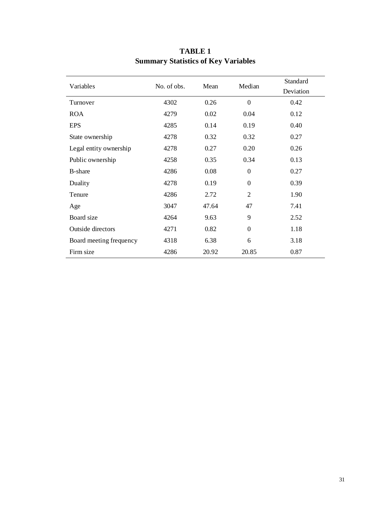| Variables               | No. of obs. | Mean  | Median           | Standard  |
|-------------------------|-------------|-------|------------------|-----------|
|                         |             |       |                  | Deviation |
| Turnover                | 4302        | 0.26  | $\overline{0}$   | 0.42      |
| <b>ROA</b>              | 4279        | 0.02  | 0.04             | 0.12      |
| <b>EPS</b>              | 4285        | 0.14  |                  | 0.40      |
| State ownership         | 4278        | 0.32  | 0.32             | 0.27      |
| Legal entity ownership  | 4278        | 0.27  | 0.20             | 0.26      |
| Public ownership        | 4258        | 0.35  | 0.34             | 0.13      |
| <b>B</b> -share         | 4286        | 0.08  | $\boldsymbol{0}$ | 0.27      |
| Duality                 | 4278        | 0.19  | $\boldsymbol{0}$ | 0.39      |
| Tenure                  | 4286        | 2.72  | $\overline{2}$   | 1.90      |
| Age                     | 3047        | 47.64 | 47               | 7.41      |
| Board size              | 4264        | 9.63  | 9                | 2.52      |
| Outside directors       | 4271        | 0.82  | $\theta$         | 1.18      |
| Board meeting frequency | 4318        | 6.38  | 6                | 3.18      |
| Firm size               | 4286        | 20.92 | 20.85            | 0.87      |

# **TABLE 1 Summary Statistics of Key Variables**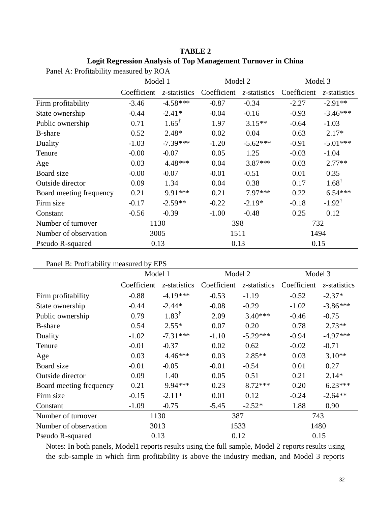|                         | Model 1     |                  | Model 2     |              | Model 3     |                   |
|-------------------------|-------------|------------------|-------------|--------------|-------------|-------------------|
|                         | Coefficient | z-statistics     | Coefficient | z-statistics | Coefficient | z-statistics      |
| Firm profitability      | $-3.46$     | $-4.58***$       | $-0.87$     | $-0.34$      | $-2.27$     | $-2.91**$         |
| State ownership         | $-0.44$     | $-2.41*$         | $-0.04$     | $-0.16$      | $-0.93$     | $-3.46***$        |
| Public ownership        | 0.71        | $1.65^{\dagger}$ | 1.97        | $3.15**$     | $-0.64$     | $-1.03$           |
| <b>B</b> -share         | 0.52        | $2.48*$          | 0.02        | 0.04         | 0.63        | $2.17*$           |
| Duality                 | $-1.03$     | $-7.39***$       | $-1.20$     | $-5.62***$   | $-0.91$     | $-5.01***$        |
| Tenure                  | $-0.00$     | $-0.07$          | 0.05        | 1.25         | $-0.03$     | $-1.04$           |
| Age                     | 0.03        | 4.48***          | 0.04        | $3.87***$    | 0.03        | $2.77**$          |
| Board size              | $-0.00$     | $-0.07$          | $-0.01$     | $-0.51$      | 0.01        | 0.35              |
| Outside director        | 0.09        | 1.34             | 0.04        | 0.38         | 0.17        | $1.68^{\dagger}$  |
| Board meeting frequency | 0.21        | 9.91***          | 0.21        | 7.97***      | 0.22        | $6.54***$         |
| Firm size               | $-0.17$     | $-2.59**$        | $-0.22$     | $-2.19*$     | $-0.18$     | $-1.92^{\dagger}$ |
| Constant                | $-0.56$     | $-0.39$          | $-1.00$     | $-0.48$      | 0.25        | 0.12              |
| Number of turnover      | 1130        |                  | 398         |              | 732         |                   |
| Number of observation   | 3005        |                  | 1511        |              | 1494        |                   |
| Pseudo R-squared        | 0.13        |                  | 0.13        |              | 0.15        |                   |

**TABLE 2 Logit Regression Analysis of Top Management Turnover in China** Panel A: Profitability measured by ROA

## Panel B: Profitability measured by EPS

|                         | Model 1     |                  | Model 2     |              | Model 3     |              |  |
|-------------------------|-------------|------------------|-------------|--------------|-------------|--------------|--|
|                         | Coefficient | z-statistics     | Coefficient | z-statistics | Coefficient | z-statistics |  |
| Firm profitability      | $-0.88$     | $-4.19***$       | $-0.53$     | $-1.19$      | $-0.52$     | $-2.37*$     |  |
| State ownership         | $-0.44$     | $-2.44*$         | $-0.08$     | $-0.29$      | $-1.02$     | $-3.86***$   |  |
| Public ownership        | 0.79        | $1.83^{\dagger}$ | 2.09        | $3.40***$    | $-0.46$     | $-0.75$      |  |
| <b>B</b> -share         | 0.54        | $2.55*$          | 0.07        | 0.20         | 0.78        | $2.73**$     |  |
| Duality                 | $-1.02$     | $-7.31***$       | $-1.10$     | $-5.29***$   | $-0.94$     | $-4.97***$   |  |
| Tenure                  | $-0.01$     | $-0.37$          | 0.02        | 0.62         | $-0.02$     | $-0.71$      |  |
| Age                     | 0.03        | $4.46***$        | 0.03        | $2.85**$     | 0.03        | $3.10**$     |  |
| Board size              | $-0.01$     | $-0.05$          | $-0.01$     | $-0.54$      | 0.01        | 0.27         |  |
| Outside director        | 0.09        | 1.40             | 0.05        | 0.51         | 0.21        | $2.14*$      |  |
| Board meeting frequency | 0.21        | 9.94 ***         | 0.23        | $8.72***$    | 0.20        | $6.23***$    |  |
| Firm size               | $-0.15$     | $-2.11*$         | 0.01        | 0.12         | $-0.24$     | $-2.64**$    |  |
| Constant                | $-1.09$     | $-0.75$          | $-5.45$     | $-2.52*$     | 1.88        | 0.90         |  |
| Number of turnover      | 1130        |                  | 387         |              | 743         |              |  |
| Number of observation   |             | 3013             |             | 1533         |             | 1480         |  |
| Pseudo R-squared        | 0.13        |                  | 0.12        |              | 0.15        |              |  |

Notes: In both panels, Model1 reports results using the full sample, Model 2 reports results using the sub-sample in which firm profitability is above the industry median, and Model 3 reports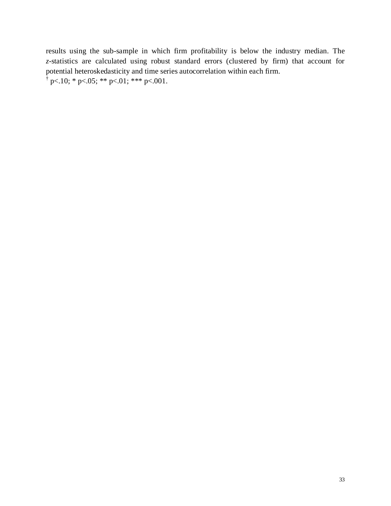results using the sub-sample in which firm profitability is below the industry median. The *z*-statistics are calculated using robust standard errors (clustered by firm) that account for potential heteroskedasticity and time series autocorrelation within each firm.  $\dagger$  p<.10; \* p<.05; \*\* p<.01; \*\*\* p<.001.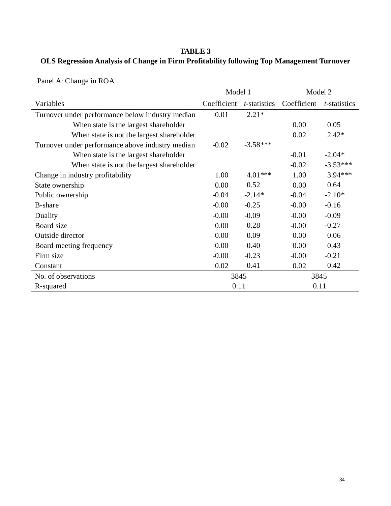# **TABLE 3 OLS Regression Analysis of Change in Firm Profitability following Top Management Turnover**

| 1.41                                             |             |                      |             |                      |
|--------------------------------------------------|-------------|----------------------|-------------|----------------------|
|                                                  | Model 1     |                      | Model 2     |                      |
| Variables                                        | Coefficient | <i>t</i> -statistics | Coefficient | <i>t</i> -statistics |
| Turnover under performance below industry median | 0.01        | $2.21*$              |             |                      |
| When state is the largest shareholder            |             |                      | 0.00        | 0.05                 |
| When state is not the largest shareholder        |             |                      | 0.02        | $2.42*$              |
| Turnover under performance above industry median | $-0.02$     | $-3.58***$           |             |                      |
| When state is the largest shareholder            |             |                      | $-0.01$     | $-2.04*$             |
| When state is not the largest shareholder        |             |                      | $-0.02$     | $-3.53***$           |
| Change in industry profitability                 | 1.00        | $4.01***$            | 1.00        | $3.94***$            |
| State ownership                                  | 0.00        | 0.52                 | 0.00        | 0.64                 |
| Public ownership                                 | $-0.04$     | $-2.14*$             | $-0.04$     | $-2.10*$             |
| <b>B</b> -share                                  | $-0.00$     | $-0.25$              | $-0.00$     | $-0.16$              |
| Duality                                          | $-0.00$     | $-0.09$              | $-0.00$     | $-0.09$              |
| Board size                                       | 0.00        | 0.28                 | $-0.00$     | $-0.27$              |
| Outside director                                 | 0.00        | 0.09                 | 0.00        | 0.06                 |
| Board meeting frequency                          | 0.00        | 0.40                 | 0.00        | 0.43                 |
| Firm size                                        | $-0.00$     | $-0.23$              | $-0.00$     | $-0.21$              |
| Constant                                         | 0.02        | 0.41                 | 0.02        | 0.42                 |
| No. of observations                              | 3845        |                      | 3845        |                      |
| R-squared                                        | 0.11        |                      | 0.11        |                      |

Panel A: Change in ROA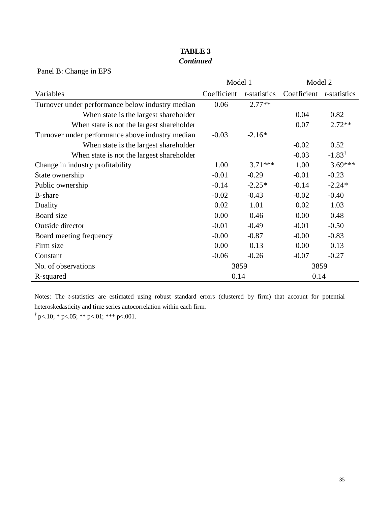| тарыз э<br><b>Continued</b> |  |  |                   |  |  |
|-----------------------------|--|--|-------------------|--|--|
|                             |  |  | Model 1           |  |  |
|                             |  |  | Coefficient $t-s$ |  |  |
|                             |  |  | .                 |  |  |

# **TABLE 3**

|                                                  | Model 1     |                      | Model 2     |                      |
|--------------------------------------------------|-------------|----------------------|-------------|----------------------|
| Variables                                        | Coefficient | <i>t</i> -statistics | Coefficient | <i>t</i> -statistics |
| Turnover under performance below industry median | 0.06        | $2.77**$             |             |                      |
| When state is the largest shareholder            |             |                      | 0.04        | 0.82                 |
| When state is not the largest shareholder        |             |                      | 0.07        | $2.72**$             |
| Turnover under performance above industry median | $-0.03$     | $-2.16*$             |             |                      |
| When state is the largest shareholder            |             |                      | $-0.02$     | 0.52                 |
| When state is not the largest shareholder        |             |                      | $-0.03$     | $-1.83^{\dagger}$    |
| Change in industry profitability                 | 1.00        | $3.71***$            | 1.00        | $3.69***$            |
| State ownership                                  | $-0.01$     | $-0.29$              | $-0.01$     | $-0.23$              |
| Public ownership                                 | $-0.14$     | $-2.25*$             | $-0.14$     | $-2.24*$             |
| <b>B</b> -share                                  | $-0.02$     | $-0.43$              | $-0.02$     | $-0.40$              |
| Duality                                          | 0.02        | 1.01                 | 0.02        | 1.03                 |
| Board size                                       | 0.00        | 0.46                 | 0.00        | 0.48                 |
| Outside director                                 | $-0.01$     | $-0.49$              | $-0.01$     | $-0.50$              |
| Board meeting frequency                          | $-0.00$     | $-0.87$              | $-0.00$     | $-0.83$              |
| Firm size                                        | 0.00        | 0.13                 | 0.00        | 0.13                 |
| Constant                                         | $-0.06$     | $-0.26$              | $-0.07$     | $-0.27$              |
| No. of observations                              | 3859        |                      | 3859        |                      |
| R-squared                                        | 0.14        |                      | 0.14        |                      |

Notes: The *t*-statistics are estimated using robust standard errors (clustered by firm) that account for potential heteroskedasticity and time series autocorrelation within each firm.

 $\textsuperscript{\dagger}$  p<.10; \* p<.05; \*\* p<.01; \*\*\* p<.001.

Panel B: Change in EPS